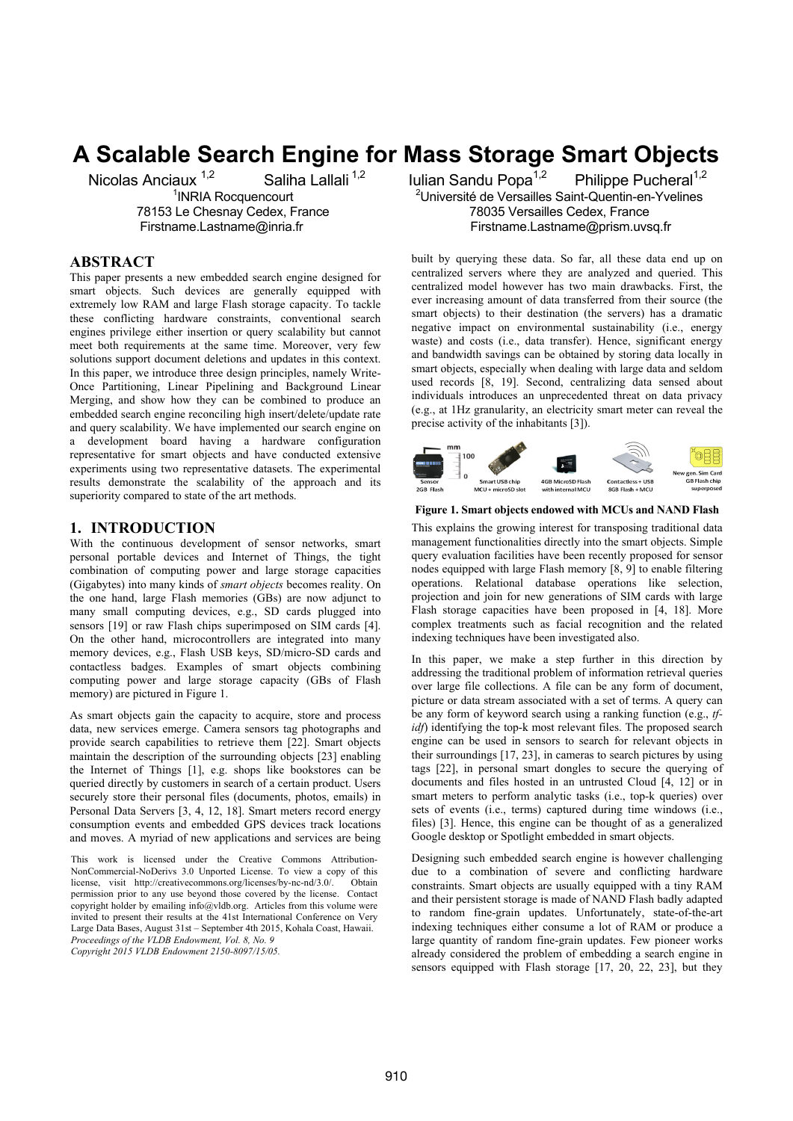# **A Scalable Search Engine for Mass Storage Smart Objects**

1 INRIA Rocquencourt 78153 Le Chesnay Cedex, France

# **ABSTRACT**

This paper presents a new embedded search engine designed for smart objects. Such devices are generally equipped with extremely low RAM and large Flash storage capacity. To tackle these conflicting hardware constraints, conventional search engines privilege either insertion or query scalability but cannot meet both requirements at the same time. Moreover, very few solutions support document deletions and updates in this context. In this paper, we introduce three design principles, namely Write-Once Partitioning, Linear Pipelining and Background Linear Merging, and show how they can be combined to produce an embedded search engine reconciling high insert/delete/update rate and query scalability. We have implemented our search engine on a development board having a hardware configuration representative for smart objects and have conducted extensive experiments using two representative datasets. The experimental results demonstrate the scalability of the approach and its superiority compared to state of the art methods.

# **1. INTRODUCTION**

With the continuous development of sensor networks, smart personal portable devices and Internet of Things, the tight combination of computing power and large storage capacities (Gigabytes) into many kinds of *smart objects* becomes reality. On the one hand, large Flash memories (GBs) are now adjunct to many small computing devices, e.g., SD cards plugged into sensors [19] or raw Flash chips superimposed on SIM cards [4]. On the other hand, microcontrollers are integrated into many memory devices, e.g., Flash USB keys, SD/micro-SD cards and contactless badges. Examples of smart objects combining computing power and large storage capacity (GBs of Flash memory) are pictured in Figure 1.

As smart objects gain the capacity to acquire, store and process data, new services emerge. Camera sensors tag photographs and provide search capabilities to retrieve them [22]. Smart objects maintain the description of the surrounding objects [23] enabling the Internet of Things [1], e.g. shops like bookstores can be queried directly by customers in search of a certain product. Users securely store their personal files (documents, photos, emails) in Personal Data Servers [3, 4, 12, 18]. Smart meters record energy consumption events and embedded GPS devices track locations and moves. A myriad of new applications and services are being

This work is licensed under the Creative Commons Attribution-NonCommercial-NoDerivs 3.0 Unported License. To view a copy of this license visit http://creativecommons.org/licenses/by-nc-nd/3.0/. Obtain license, visit http://creativecommons.org/licenses/by-nc-nd/3.0/. permission prior to any use beyond those covered by the license. Contact copyright holder by emailing info@vldb.org. Articles from this volume were invited to present their results at the 41st International Conference on Very Large Data Bases, August 31st – September 4th 2015, Kohala Coast, Hawaii. *Proceedings of the VLDB Endowment, Vol. 8, No. 9* 

*Copyright 2015 VLDB Endowment 2150-8097/15/05.* 

Nicolas Anciaux<sup>1,2</sup> Saliha Lallali<sup>1,2</sup> Iulian Sandu Popa<sup>1,2</sup> Philippe Pucheral<sup>1,2</sup> <sup>2</sup>Université de Versailles Saint-Quentin-en-Yvelines 78035 Versailles Cedex, France Firstname.Lastname@inria.fr Firstname.Lastname@prism.uvsq.fr

> built by querying these data. So far, all these data end up on centralized servers where they are analyzed and queried. This centralized model however has two main drawbacks. First, the ever increasing amount of data transferred from their source (the smart objects) to their destination (the servers) has a dramatic negative impact on environmental sustainability (i.e., energy waste) and costs (i.e., data transfer). Hence, significant energy and bandwidth savings can be obtained by storing data locally in smart objects, especially when dealing with large data and seldom used records [8, 19]. Second, centralizing data sensed about individuals introduces an unprecedented threat on data privacy (e.g., at 1Hz granularity, an electricity smart meter can reveal the precise activity of the inhabitants [3]).



**Figure 1. Smart objects endowed with MCUs and NAND Flash** 

This explains the growing interest for transposing traditional data management functionalities directly into the smart objects. Simple query evaluation facilities have been recently proposed for sensor nodes equipped with large Flash memory [8, 9] to enable filtering operations. Relational database operations like selection, projection and join for new generations of SIM cards with large Flash storage capacities have been proposed in [4, 18]. More complex treatments such as facial recognition and the related indexing techniques have been investigated also.

In this paper, we make a step further in this direction by addressing the traditional problem of information retrieval queries over large file collections. A file can be any form of document, picture or data stream associated with a set of terms. A query can be any form of keyword search using a ranking function (e.g., *tfidf*) identifying the top-k most relevant files. The proposed search engine can be used in sensors to search for relevant objects in their surroundings [17, 23], in cameras to search pictures by using tags [22], in personal smart dongles to secure the querying of documents and files hosted in an untrusted Cloud [4, 12] or in smart meters to perform analytic tasks (i.e., top-k queries) over sets of events (i.e., terms) captured during time windows (i.e., files) [3]. Hence, this engine can be thought of as a generalized Google desktop or Spotlight embedded in smart objects.

Designing such embedded search engine is however challenging due to a combination of severe and conflicting hardware constraints. Smart objects are usually equipped with a tiny RAM and their persistent storage is made of NAND Flash badly adapted to random fine-grain updates. Unfortunately, state-of-the-art indexing techniques either consume a lot of RAM or produce a large quantity of random fine-grain updates. Few pioneer works already considered the problem of embedding a search engine in sensors equipped with Flash storage [17, 20, 22, 23], but they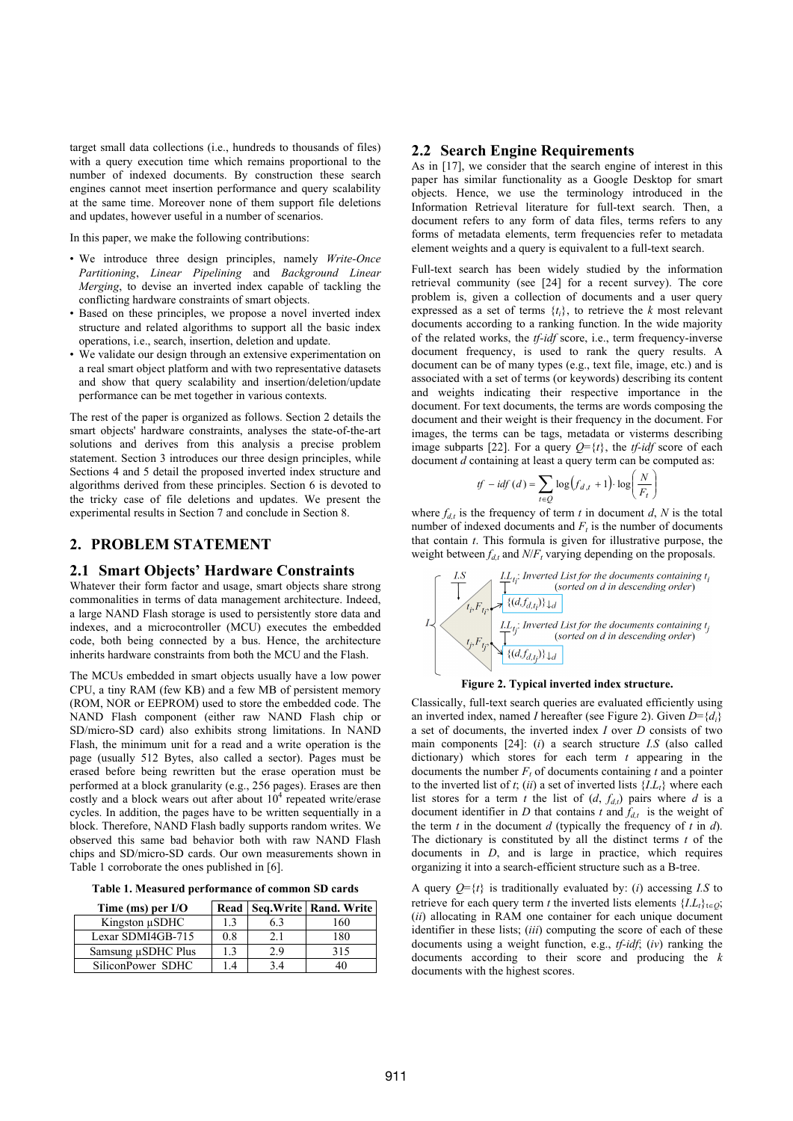target small data collections (i.e., hundreds to thousands of files) with a query execution time which remains proportional to the number of indexed documents. By construction these search engines cannot meet insertion performance and query scalability at the same time. Moreover none of them support file deletions and updates, however useful in a number of scenarios.

In this paper, we make the following contributions:

- We introduce three design principles, namely *Write-Once Partitioning*, *Linear Pipelining* and *Background Linear Merging*, to devise an inverted index capable of tackling the conflicting hardware constraints of smart objects.
- Based on these principles, we propose a novel inverted index structure and related algorithms to support all the basic index operations, i.e., search, insertion, deletion and update.
- We validate our design through an extensive experimentation on a real smart object platform and with two representative datasets and show that query scalability and insertion/deletion/update performance can be met together in various contexts.

The rest of the paper is organized as follows. Section 2 details the smart objects' hardware constraints, analyses the state-of-the-art solutions and derives from this analysis a precise problem statement. Section 3 introduces our three design principles, while Sections 4 and 5 detail the proposed inverted index structure and algorithms derived from these principles. Section 6 is devoted to the tricky case of file deletions and updates. We present the experimental results in Section 7 and conclude in Section 8.

# **2. PROBLEM STATEMENT**

#### **2.1 Smart Objects' Hardware Constraints**

Whatever their form factor and usage, smart objects share strong commonalities in terms of data management architecture. Indeed, a large NAND Flash storage is used to persistently store data and indexes, and a microcontroller (MCU) executes the embedded code, both being connected by a bus. Hence, the architecture inherits hardware constraints from both the MCU and the Flash.

The MCUs embedded in smart objects usually have a low power CPU, a tiny RAM (few KB) and a few MB of persistent memory (ROM, NOR or EEPROM) used to store the embedded code. The NAND Flash component (either raw NAND Flash chip or SD/micro-SD card) also exhibits strong limitations. In NAND Flash, the minimum unit for a read and a write operation is the page (usually 512 Bytes, also called a sector). Pages must be erased before being rewritten but the erase operation must be performed at a block granularity (e.g., 256 pages). Erases are then costly and a block wears out after about  $10<sup>4</sup>$  repeated write/erase cycles. In addition, the pages have to be written sequentially in a block. Therefore, NAND Flash badly supports random writes. We observed this same bad behavior both with raw NAND Flash chips and SD/micro-SD cards. Our own measurements shown in Table 1 corroborate the ones published in [6].

**Table 1. Measured performance of common SD cards** 

| Time (ms) per $I/O$ |     |     | Read   Seq. Write   Rand. Write |
|---------------------|-----|-----|---------------------------------|
| Kingston µSDHC      |     | 63  | 160                             |
| Lexar SDMI4GB-715   | 0.8 | 2.1 | 180                             |
| Samsung µSDHC Plus  | 1.3 | 2.9 | 315                             |
| SiliconPower SDHC   |     |     |                                 |

## **2.2 Search Engine Requirements**

As in [17], we consider that the search engine of interest in this paper has similar functionality as a Google Desktop for smart objects. Hence, we use the terminology introduced in the Information Retrieval literature for full-text search. Then, a document refers to any form of data files, terms refers to any forms of metadata elements, term frequencies refer to metadata element weights and a query is equivalent to a full-text search.

Full-text search has been widely studied by the information retrieval community (see [24] for a recent survey). The core problem is, given a collection of documents and a user query expressed as a set of terms  $\{t_i\}$ , to retrieve the *k* most relevant documents according to a ranking function. In the wide majority of the related works, the *tf-idf* score, i.e., term frequency-inverse document frequency, is used to rank the query results. A document can be of many types (e.g., text file, image, etc.) and is associated with a set of terms (or keywords) describing its content and weights indicating their respective importance in the document. For text documents, the terms are words composing the document and their weight is their frequency in the document. For images, the terms can be tags, metadata or visterms describing image subparts [22]. For a query  $Q = \{t\}$ , the *tf-idf* score of each document *d* containing at least a query term can be computed as:

$$
tf - idf(d) = \sum_{t \in Q} \log(f_{d,t} + 1) \cdot \log\left(\frac{N}{F_t}\right)
$$

where  $f_{d,t}$  is the frequency of term  $t$  in document  $d$ ,  $N$  is the total number of indexed documents and  $F_t$  is the number of documents that contain *t*. This formula is given for illustrative purpose, the weight between  $f_{dt}$  and  $N/F_t$  varying depending on the proposals.





Classically, full-text search queries are evaluated efficiently using an inverted index, named *I* hereafter (see Figure 2). Given *D*={*di*} a set of documents, the inverted index *I* over *D* consists of two main components [24]: (*i*) a search structure *I.S* (also called dictionary) which stores for each term *t* appearing in the documents the number  $F_t$  of documents containing  $t$  and a pointer to the inverted list of *t*; (*ii*) a set of inverted lists  ${I.L.}$  where each list stores for a term *t* the list of  $(d, f_d)$  pairs where *d* is a document identifier in *D* that contains  $t$  and  $f_{d,t}$  is the weight of the term  $t$  in the document  $d$  (typically the frequency of  $t$  in  $d$ ). The dictionary is constituted by all the distinct terms *t* of the documents in *D*, and is large in practice, which requires organizing it into a search-efficient structure such as a B-tree.

A query  $Q = \{t\}$  is traditionally evaluated by: (*i*) accessing *I.S* to retrieve for each query term *t* the inverted lists elements  ${I.L<sub>t</sub>}$ <sub>t $\in$ *O*</sub>; (*ii*) allocating in RAM one container for each unique document identifier in these lists; (*iii*) computing the score of each of these documents using a weight function, e.g., *tf-idf*; (*iv*) ranking the documents according to their score and producing the *k* documents with the highest scores.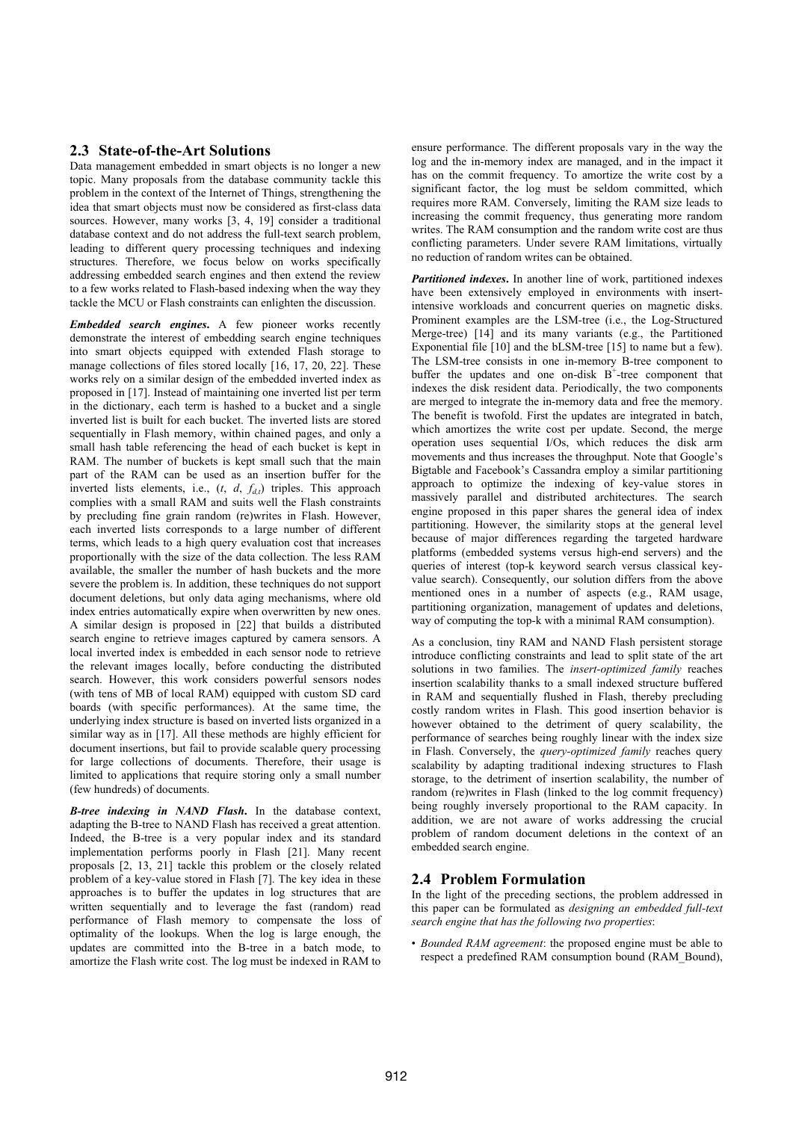# **2.3 State-of-the-Art Solutions**

Data management embedded in smart objects is no longer a new topic. Many proposals from the database community tackle this problem in the context of the Internet of Things, strengthening the idea that smart objects must now be considered as first-class data sources. However, many works [3, 4, 19] consider a traditional database context and do not address the full-text search problem, leading to different query processing techniques and indexing structures. Therefore, we focus below on works specifically addressing embedded search engines and then extend the review to a few works related to Flash-based indexing when the way they tackle the MCU or Flash constraints can enlighten the discussion.

*Embedded search engines***.** A few pioneer works recently demonstrate the interest of embedding search engine techniques into smart objects equipped with extended Flash storage to manage collections of files stored locally [16, 17, 20, 22]. These works rely on a similar design of the embedded inverted index as proposed in [17]. Instead of maintaining one inverted list per term in the dictionary, each term is hashed to a bucket and a single inverted list is built for each bucket. The inverted lists are stored sequentially in Flash memory, within chained pages, and only a small hash table referencing the head of each bucket is kept in RAM. The number of buckets is kept small such that the main part of the RAM can be used as an insertion buffer for the inverted lists elements, i.e.,  $(t, d, f_d)$  triples. This approach complies with a small RAM and suits well the Flash constraints by precluding fine grain random (re)writes in Flash. However, each inverted lists corresponds to a large number of different terms, which leads to a high query evaluation cost that increases proportionally with the size of the data collection. The less RAM available, the smaller the number of hash buckets and the more severe the problem is. In addition, these techniques do not support document deletions, but only data aging mechanisms, where old index entries automatically expire when overwritten by new ones. A similar design is proposed in [22] that builds a distributed search engine to retrieve images captured by camera sensors. A local inverted index is embedded in each sensor node to retrieve the relevant images locally, before conducting the distributed search. However, this work considers powerful sensors nodes (with tens of MB of local RAM) equipped with custom SD card boards (with specific performances). At the same time, the underlying index structure is based on inverted lists organized in a similar way as in [17]. All these methods are highly efficient for document insertions, but fail to provide scalable query processing for large collections of documents. Therefore, their usage is limited to applications that require storing only a small number (few hundreds) of documents.

*B-tree indexing in NAND Flash***.** In the database context, adapting the B-tree to NAND Flash has received a great attention. Indeed, the B-tree is a very popular index and its standard implementation performs poorly in Flash [21]. Many recent proposals [2, 13, 21] tackle this problem or the closely related problem of a key-value stored in Flash [7]. The key idea in these approaches is to buffer the updates in log structures that are written sequentially and to leverage the fast (random) read performance of Flash memory to compensate the loss of optimality of the lookups. When the log is large enough, the updates are committed into the B-tree in a batch mode, to amortize the Flash write cost. The log must be indexed in RAM to

ensure performance. The different proposals vary in the way the log and the in-memory index are managed, and in the impact it has on the commit frequency. To amortize the write cost by a significant factor, the log must be seldom committed, which requires more RAM. Conversely, limiting the RAM size leads to increasing the commit frequency, thus generating more random writes. The RAM consumption and the random write cost are thus conflicting parameters. Under severe RAM limitations, virtually no reduction of random writes can be obtained.

*Partitioned indexes***.** In another line of work, partitioned indexes have been extensively employed in environments with insertintensive workloads and concurrent queries on magnetic disks. Prominent examples are the LSM-tree (i.e., the Log-Structured Merge-tree) [14] and its many variants (e.g., the Partitioned Exponential file [10] and the bLSM-tree [15] to name but a few). The LSM-tree consists in one in-memory B-tree component to buffer the updates and one on-disk  $B^+$ -tree component that indexes the disk resident data. Periodically, the two components are merged to integrate the in-memory data and free the memory. The benefit is twofold. First the updates are integrated in batch, which amortizes the write cost per update. Second, the merge operation uses sequential I/Os, which reduces the disk arm movements and thus increases the throughput. Note that Google's Bigtable and Facebook's Cassandra employ a similar partitioning approach to optimize the indexing of key-value stores in massively parallel and distributed architectures. The search engine proposed in this paper shares the general idea of index partitioning. However, the similarity stops at the general level because of major differences regarding the targeted hardware platforms (embedded systems versus high-end servers) and the queries of interest (top-k keyword search versus classical keyvalue search). Consequently, our solution differs from the above mentioned ones in a number of aspects (e.g., RAM usage, partitioning organization, management of updates and deletions, way of computing the top-k with a minimal RAM consumption).

As a conclusion, tiny RAM and NAND Flash persistent storage introduce conflicting constraints and lead to split state of the art solutions in two families. The *insert-optimized family* reaches insertion scalability thanks to a small indexed structure buffered in RAM and sequentially flushed in Flash, thereby precluding costly random writes in Flash. This good insertion behavior is however obtained to the detriment of query scalability, the performance of searches being roughly linear with the index size in Flash. Conversely, the *query-optimized family* reaches query scalability by adapting traditional indexing structures to Flash storage, to the detriment of insertion scalability, the number of random (re)writes in Flash (linked to the log commit frequency) being roughly inversely proportional to the RAM capacity. In addition, we are not aware of works addressing the crucial problem of random document deletions in the context of an embedded search engine.

# **2.4 Problem Formulation**

In the light of the preceding sections, the problem addressed in this paper can be formulated as *designing an embedded full-text search engine that has the following two properties*:

• *Bounded RAM agreement*: the proposed engine must be able to respect a predefined RAM consumption bound (RAM\_Bound),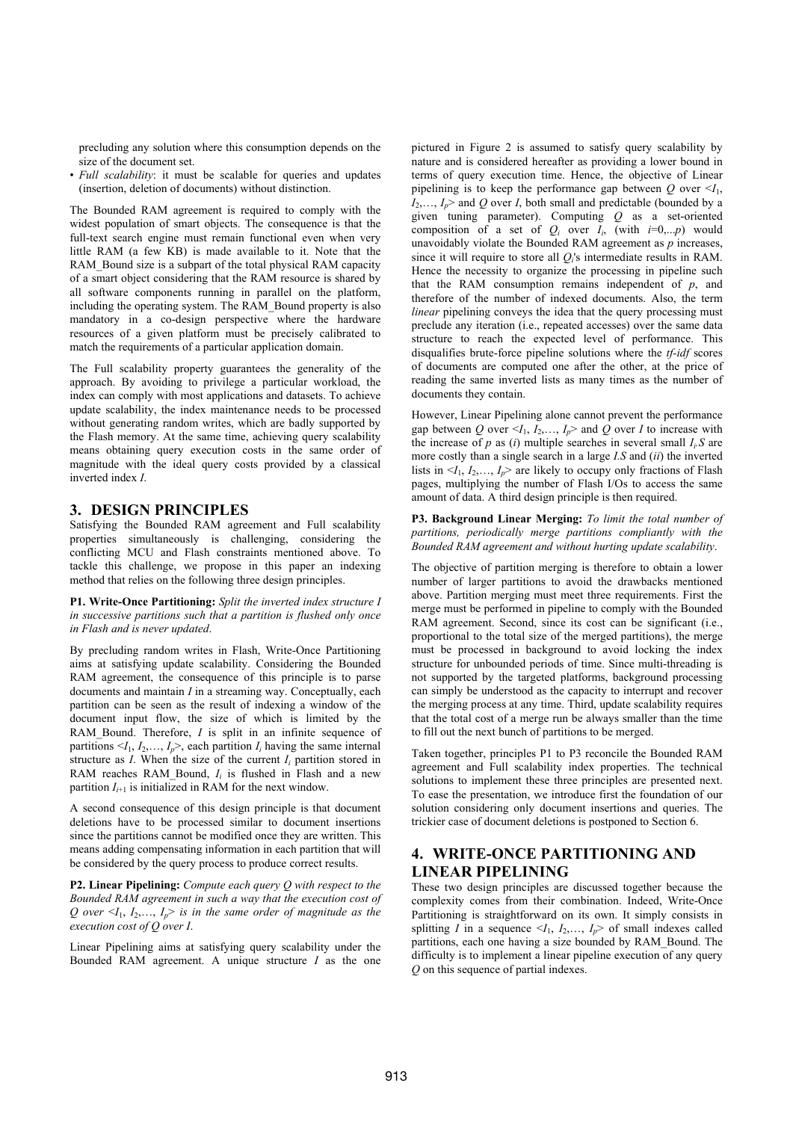precluding any solution where this consumption depends on the size of the document set.

• *Full scalability*: it must be scalable for queries and updates (insertion, deletion of documents) without distinction.

The Bounded RAM agreement is required to comply with the widest population of smart objects. The consequence is that the full-text search engine must remain functional even when very little RAM (a few KB) is made available to it. Note that the RAM Bound size is a subpart of the total physical RAM capacity of a smart object considering that the RAM resource is shared by all software components running in parallel on the platform, including the operating system. The RAM\_Bound property is also mandatory in a co-design perspective where the hardware resources of a given platform must be precisely calibrated to match the requirements of a particular application domain.

The Full scalability property guarantees the generality of the approach. By avoiding to privilege a particular workload, the index can comply with most applications and datasets. To achieve update scalability, the index maintenance needs to be processed without generating random writes, which are badly supported by the Flash memory. At the same time, achieving query scalability means obtaining query execution costs in the same order of magnitude with the ideal query costs provided by a classical inverted index *I*.

### **3. DESIGN PRINCIPLES**

Satisfying the Bounded RAM agreement and Full scalability properties simultaneously is challenging, considering the conflicting MCU and Flash constraints mentioned above. To tackle this challenge, we propose in this paper an indexing method that relies on the following three design principles.

**P1. Write-Once Partitioning:** *Split the inverted index structure I in successive partitions such that a partition is flushed only once in Flash and is never updated*.

By precluding random writes in Flash, Write-Once Partitioning aims at satisfying update scalability. Considering the Bounded RAM agreement, the consequence of this principle is to parse documents and maintain *I* in a streaming way. Conceptually, each partition can be seen as the result of indexing a window of the document input flow, the size of which is limited by the RAM Bound. Therefore, *I* is split in an infinite sequence of partitions  $\langle I_1, I_2, \ldots, I_p \rangle$ , each partition  $I_i$  having the same internal structure as  $I$ . When the size of the current  $I_i$  partition stored in RAM reaches RAM Bound,  $I_i$  is flushed in Flash and a new partition  $I_{i+1}$  is initialized in RAM for the next window.

A second consequence of this design principle is that document deletions have to be processed similar to document insertions since the partitions cannot be modified once they are written. This means adding compensating information in each partition that will be considered by the query process to produce correct results.

**P2. Linear Pipelining:** *Compute each query Q with respect to the Bounded RAM agreement in such a way that the execution cost of Q* over  $\leq I_1, I_2, \ldots, I_p$  *is in the same order of magnitude as the execution cost of Q over I*.

Linear Pipelining aims at satisfying query scalability under the Bounded RAM agreement. A unique structure *I* as the one

pictured in Figure 2 is assumed to satisfy query scalability by nature and is considered hereafter as providing a lower bound in terms of query execution time. Hence, the objective of Linear pipelining is to keep the performance gap between  $Q$  over  $\leq I_1$ ,  $I_2, \ldots, I_p$  and *Q* over *I*, both small and predictable (bounded by a given tuning parameter). Computing *Q* as a set-oriented composition of a set of  $Q_i$  over  $I_i$ , (with  $i=0,...,p$ ) would unavoidably violate the Bounded RAM agreement as *p* increases, since it will require to store all *Qi*'s intermediate results in RAM. Hence the necessity to organize the processing in pipeline such that the RAM consumption remains independent of *p*, and therefore of the number of indexed documents. Also, the term *linear* pipelining conveys the idea that the query processing must preclude any iteration (i.e., repeated accesses) over the same data structure to reach the expected level of performance. This disqualifies brute-force pipeline solutions where the *tf-idf* scores of documents are computed one after the other, at the price of reading the same inverted lists as many times as the number of documents they contain.

However, Linear Pipelining alone cannot prevent the performance gap between Q over  $\leq I_1, I_2, \ldots, I_p$  and Q over *I* to increase with the increase of  $p$  as  $(i)$  multiple searches in several small  $I_i$ . S are more costly than a single search in a large *I.S* and (*ii*) the inverted lists in  $\langle I_1, I_2, \ldots, I_p \rangle$  are likely to occupy only fractions of Flash pages, multiplying the number of Flash I/Os to access the same amount of data. A third design principle is then required.

**P3. Background Linear Merging:** *To limit the total number of partitions, periodically merge partitions compliantly with the Bounded RAM agreement and without hurting update scalability*.

The objective of partition merging is therefore to obtain a lower number of larger partitions to avoid the drawbacks mentioned above. Partition merging must meet three requirements. First the merge must be performed in pipeline to comply with the Bounded RAM agreement. Second, since its cost can be significant (i.e., proportional to the total size of the merged partitions), the merge must be processed in background to avoid locking the index structure for unbounded periods of time. Since multi-threading is not supported by the targeted platforms, background processing can simply be understood as the capacity to interrupt and recover the merging process at any time. Third, update scalability requires that the total cost of a merge run be always smaller than the time to fill out the next bunch of partitions to be merged.

Taken together, principles P1 to P3 reconcile the Bounded RAM agreement and Full scalability index properties. The technical solutions to implement these three principles are presented next. To ease the presentation, we introduce first the foundation of our solution considering only document insertions and queries. The trickier case of document deletions is postponed to Section 6.

# **4. WRITE-ONCE PARTITIONING AND LINEAR PIPELINING**

These two design principles are discussed together because the complexity comes from their combination. Indeed, Write-Once Partitioning is straightforward on its own. It simply consists in splitting *I* in a sequence  $\langle I_1, I_2, \dots, I_p \rangle$  of small indexes called partitions, each one having a size bounded by RAM\_Bound. The difficulty is to implement a linear pipeline execution of any query *Q* on this sequence of partial indexes.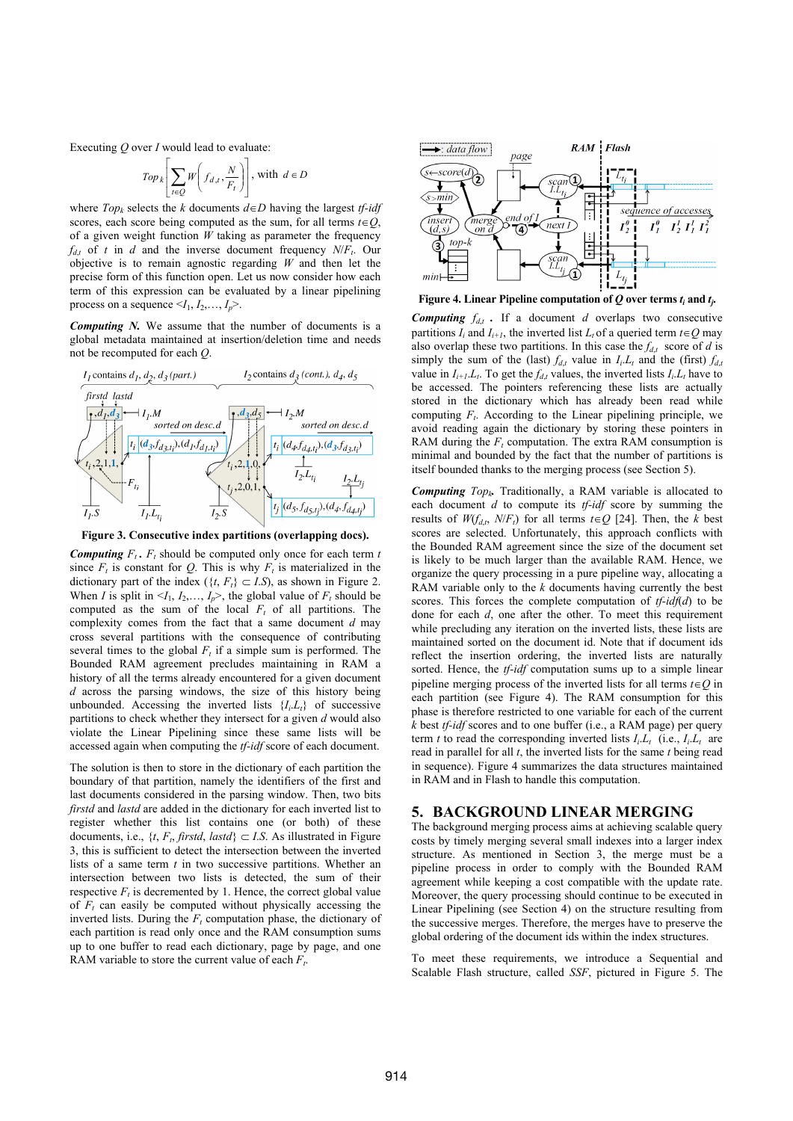Executing *Q* over *I* would lead to evaluate:

$$
Top_k \bigg[ \sum_{t \in Q} W \bigg( f_{d,t}, \frac{N}{F_t} \bigg) \bigg], \text{ with } d \in D
$$

where  $Top_k$  selects the *k* documents  $d \in D$  having the largest *tf-idf* scores, each score being computed as the sum, for all terms  $t \in Q$ , of a given weight function *W* taking as parameter the frequency  $f_{dt}$  of *t* in *d* and the inverse document frequency  $N/F_t$ . Our objective is to remain agnostic regarding *W* and then let the precise form of this function open. Let us now consider how each term of this expression can be evaluated by a linear pipelining process on a sequence  $\langle I_1, I_2, \ldots, I_p \rangle$ 

*Computing N.* We assume that the number of documents is a global metadata maintained at insertion/deletion time and needs not be recomputed for each *Q*.



**Figure 3. Consecutive index partitions (overlapping docs).** 

*Computing*  $F_t$ ,  $F_t$  should be computed only once for each term *t* since  $F_t$  is constant for *Q*. This is why  $F_t$  is materialized in the dictionary part of the index ( $\{t, F_t\} \subset I.S$ ), as shown in Figure 2. When *I* is split in  $\leq I_1, I_2, \ldots, I_p$ , the global value of  $F_t$  should be computed as the sum of the local  $F_t$  of all partitions. The complexity comes from the fact that a same document *d* may cross several partitions with the consequence of contributing several times to the global  $F_t$  if a simple sum is performed. The Bounded RAM agreement precludes maintaining in RAM a history of all the terms already encountered for a given document *d* across the parsing windows, the size of this history being unbounded. Accessing the inverted lists  ${I_i L_t}$  of successive partitions to check whether they intersect for a given *d* would also violate the Linear Pipelining since these same lists will be accessed again when computing the *tf-idf* score of each document.

The solution is then to store in the dictionary of each partition the boundary of that partition, namely the identifiers of the first and last documents considered in the parsing window. Then, two bits *firstd* and *lastd* are added in the dictionary for each inverted list to register whether this list contains one (or both) of these documents, i.e.,  $\{t, F_t, \text{firstd}, \text{lastd}\} \subset I.S.$  As illustrated in Figure 3, this is sufficient to detect the intersection between the inverted lists of a same term *t* in two successive partitions. Whether an intersection between two lists is detected, the sum of their respective  $F_t$  is decremented by 1. Hence, the correct global value of  $F_t$  can easily be computed without physically accessing the inverted lists. During the  $F_t$  computation phase, the dictionary of each partition is read only once and the RAM consumption sums up to one buffer to read each dictionary, page by page, and one RAM variable to store the current value of each  $F_t$ .



**Figure 4. Linear Pipeline computation of**  $Q$  **over terms**  $t_i$  **and**  $t_j$ **.** 

*Computing*  $f_{dt}$ . If a document *d* overlaps two consecutive partitions  $I_i$  and  $I_{i+1}$ , the inverted list  $L_t$  of a queried term  $t \in Q$  may also overlap these two partitions. In this case the  $f_{dt}$  score of *d* is simply the sum of the (last)  $f_{d,t}$  value in  $I_i L_t$  and the (first)  $f_{d,t}$ value in  $I_{i+1}L_i$ . To get the  $f_{d,t}$  values, the inverted lists  $I_iL_i$  have to be accessed. The pointers referencing these lists are actually stored in the dictionary which has already been read while computing  $F_t$ . According to the Linear pipelining principle, we avoid reading again the dictionary by storing these pointers in RAM during the  $F_t$  computation. The extra RAM consumption is minimal and bounded by the fact that the number of partitions is itself bounded thanks to the merging process (see Section 5).

*Computing Topk.* Traditionally, a RAM variable is allocated to each document *d* to compute its *tf-idf* score by summing the results of  $W(f_{d,t}, N/F_t)$  for all terms  $t \in Q$  [24]. Then, the *k* best scores are selected. Unfortunately, this approach conflicts with the Bounded RAM agreement since the size of the document set is likely to be much larger than the available RAM. Hence, we organize the query processing in a pure pipeline way, allocating a RAM variable only to the *k* documents having currently the best scores. This forces the complete computation of *tf-idf*(*d*) to be done for each *d*, one after the other. To meet this requirement while precluding any iteration on the inverted lists, these lists are maintained sorted on the document id. Note that if document ids reflect the insertion ordering, the inverted lists are naturally sorted. Hence, the *tf-idf* computation sums up to a simple linear pipeline merging process of the inverted lists for all terms  $t \in O$  in each partition (see Figure 4). The RAM consumption for this phase is therefore restricted to one variable for each of the current *k* best *tf-idf* scores and to one buffer (i.e., a RAM page) per query term *t* to read the corresponding inverted lists  $I_i.L_i$  (i.e.,  $I_i.L_i$  are read in parallel for all *t*, the inverted lists for the same *t* being read in sequence). Figure 4 summarizes the data structures maintained in RAM and in Flash to handle this computation.

# **5. BACKGROUND LINEAR MERGING**

The background merging process aims at achieving scalable query costs by timely merging several small indexes into a larger index structure. As mentioned in Section 3, the merge must be a pipeline process in order to comply with the Bounded RAM agreement while keeping a cost compatible with the update rate. Moreover, the query processing should continue to be executed in Linear Pipelining (see Section 4) on the structure resulting from the successive merges. Therefore, the merges have to preserve the global ordering of the document ids within the index structures.

To meet these requirements, we introduce a Sequential and Scalable Flash structure, called *SSF*, pictured in Figure 5. The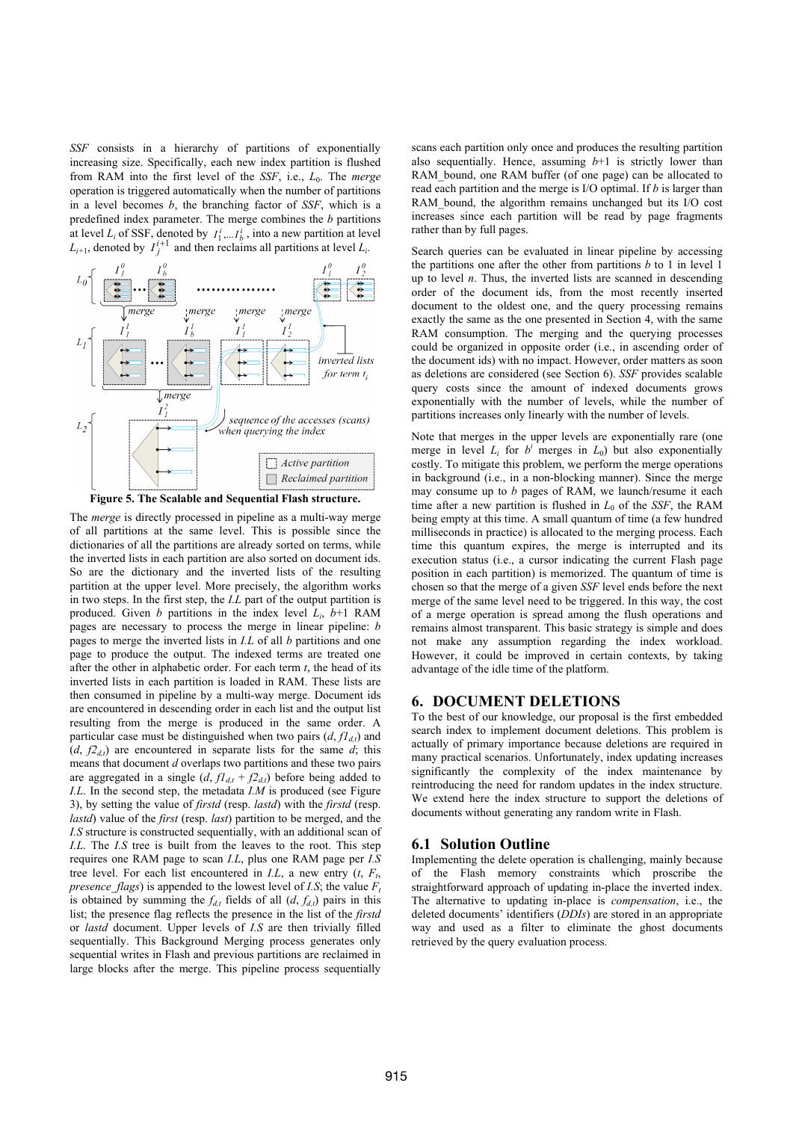*SSF* consists in a hierarchy of partitions of exponentially increasing size. Specifically, each new index partition is flushed from RAM into the first level of the *SSF*, i.e., *L*0. The *merge* operation is triggered automatically when the number of partitions in a level becomes *b*, the branching factor of *SSF*, which is a predefined index parameter. The merge combines the *b* partitions at level  $L_i$  of SSF, denoted by  $I_1^i$ ,  $I_i^i$ , into a new partition at level  $L_{i+1}$ , denoted by  $I_j^{i+1}$  and then reclaims all partitions at level  $L_i$ .





The *merge* is directly processed in pipeline as a multi-way merge of all partitions at the same level. This is possible since the dictionaries of all the partitions are already sorted on terms, while the inverted lists in each partition are also sorted on document ids. So are the dictionary and the inverted lists of the resulting partition at the upper level. More precisely, the algorithm works in two steps. In the first step, the *I.L* part of the output partition is produced. Given *b* partitions in the index level  $L_i$ ,  $b+1$  RAM pages are necessary to process the merge in linear pipeline: *b* pages to merge the inverted lists in *I.L* of all *b* partitions and one page to produce the output. The indexed terms are treated one after the other in alphabetic order. For each term *t*, the head of its inverted lists in each partition is loaded in RAM. These lists are then consumed in pipeline by a multi-way merge. Document ids are encountered in descending order in each list and the output list resulting from the merge is produced in the same order. A particular case must be distinguished when two pairs  $(d, fl_d)$  and  $(d, f2<sub>d,t</sub>)$  are encountered in separate lists for the same *d*; this means that document *d* overlaps two partitions and these two pairs are aggregated in a single  $(d, f/d_{dt} + f2_{dt})$  before being added to *I.L*. In the second step, the metadata *I.M* is produced (see Figure 3), by setting the value of *firstd* (resp. *lastd*) with the *firstd* (resp. *lastd*) value of the *first* (resp. *last*) partition to be merged, and the *I.S* structure is constructed sequentially, with an additional scan of *I.L*. The *I.S* tree is built from the leaves to the root. This step requires one RAM page to scan *I.L*, plus one RAM page per *I.S* tree level. For each list encountered in  $I.L$ , a new entry  $(t, F<sub>t</sub>)$ *presence flags*) is appended to the lowest level of *I.S*; the value  $F_t$ is obtained by summing the  $f_{d,t}$  fields of all  $(d, f_{d,t})$  pairs in this list; the presence flag reflects the presence in the list of the *firstd* or *lastd* document. Upper levels of *I.S* are then trivially filled sequentially. This Background Merging process generates only sequential writes in Flash and previous partitions are reclaimed in large blocks after the merge. This pipeline process sequentially

scans each partition only once and produces the resulting partition also sequentially. Hence, assuming *b*+1 is strictly lower than RAM bound, one RAM buffer (of one page) can be allocated to read each partition and the merge is I/O optimal. If *b* is larger than RAM bound, the algorithm remains unchanged but its I/O cost increases since each partition will be read by page fragments rather than by full pages.

Search queries can be evaluated in linear pipeline by accessing the partitions one after the other from partitions *b* to 1 in level 1 up to level *n*. Thus, the inverted lists are scanned in descending order of the document ids, from the most recently inserted document to the oldest one, and the query processing remains exactly the same as the one presented in Section 4, with the same RAM consumption. The merging and the querying processes could be organized in opposite order (i.e., in ascending order of the document ids) with no impact. However, order matters as soon as deletions are considered (see Section 6). *SSF* provides scalable query costs since the amount of indexed documents grows exponentially with the number of levels, while the number of partitions increases only linearly with the number of levels.

Note that merges in the upper levels are exponentially rare (one merge in level  $L_i$  for  $b^i$  merges in  $L_0$ ) but also exponentially costly. To mitigate this problem, we perform the merge operations in background (i.e., in a non-blocking manner). Since the merge may consume up to *b* pages of RAM, we launch/resume it each time after a new partition is flushed in  $L_0$  of the *SSF*, the RAM being empty at this time. A small quantum of time (a few hundred milliseconds in practice) is allocated to the merging process. Each time this quantum expires, the merge is interrupted and its execution status (i.e., a cursor indicating the current Flash page position in each partition) is memorized. The quantum of time is chosen so that the merge of a given *SSF* level ends before the next merge of the same level need to be triggered. In this way, the cost of a merge operation is spread among the flush operations and remains almost transparent. This basic strategy is simple and does not make any assumption regarding the index workload. However, it could be improved in certain contexts, by taking advantage of the idle time of the platform.

# **6. DOCUMENT DELETIONS**

To the best of our knowledge, our proposal is the first embedded search index to implement document deletions. This problem is actually of primary importance because deletions are required in many practical scenarios. Unfortunately, index updating increases significantly the complexity of the index maintenance by reintroducing the need for random updates in the index structure. We extend here the index structure to support the deletions of documents without generating any random write in Flash.

#### **6.1 Solution Outline**

Implementing the delete operation is challenging, mainly because of the Flash memory constraints which proscribe the straightforward approach of updating in-place the inverted index. The alternative to updating in-place is *compensation*, i.e., the deleted documents' identifiers (*DDIs*) are stored in an appropriate way and used as a filter to eliminate the ghost documents retrieved by the query evaluation process.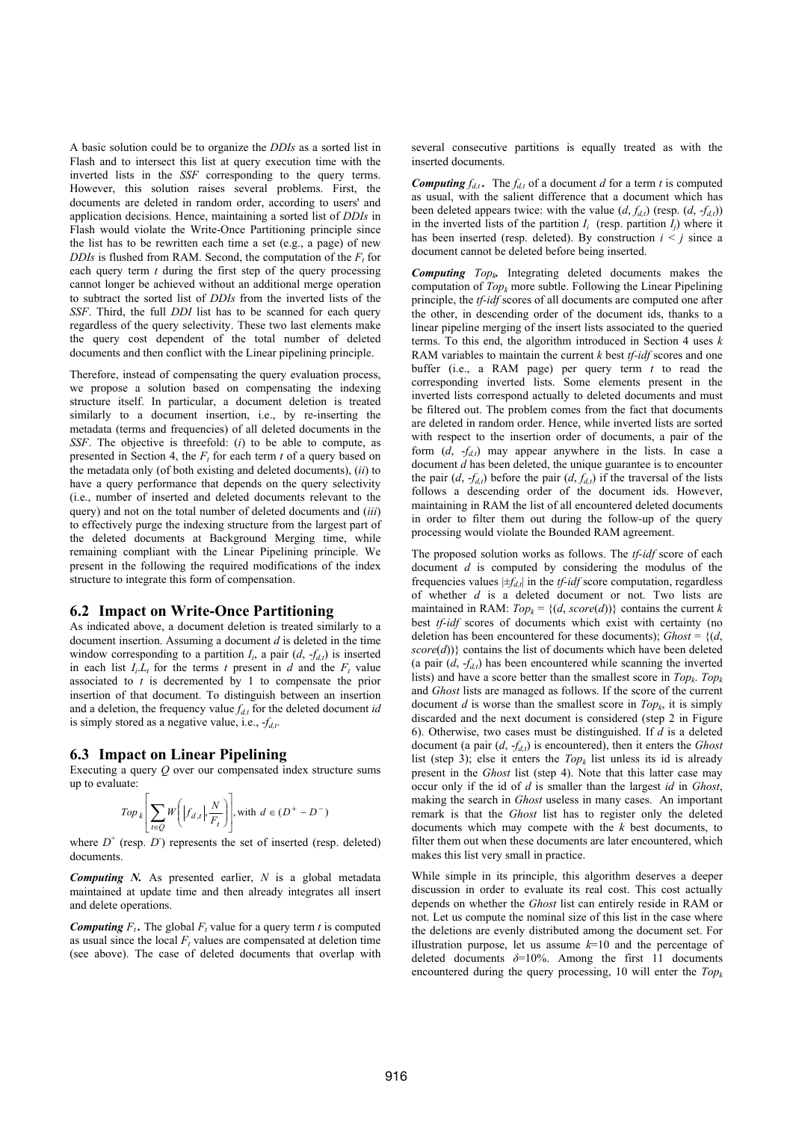A basic solution could be to organize the *DDIs* as a sorted list in Flash and to intersect this list at query execution time with the inverted lists in the *SSF* corresponding to the query terms. However, this solution raises several problems. First, the documents are deleted in random order, according to users' and application decisions. Hence, maintaining a sorted list of *DDIs* in Flash would violate the Write-Once Partitioning principle since the list has to be rewritten each time a set (e.g., a page) of new *DDIs* is flushed from RAM. Second, the computation of the  $F_t$  for each query term *t* during the first step of the query processing cannot longer be achieved without an additional merge operation to subtract the sorted list of *DDIs* from the inverted lists of the *SSF*. Third, the full *DDI* list has to be scanned for each query regardless of the query selectivity. These two last elements make the query cost dependent of the total number of deleted documents and then conflict with the Linear pipelining principle.

Therefore, instead of compensating the query evaluation process, we propose a solution based on compensating the indexing structure itself. In particular, a document deletion is treated similarly to a document insertion, i.e., by re-inserting the metadata (terms and frequencies) of all deleted documents in the *SSF*. The objective is threefold: (*i*) to be able to compute, as presented in Section 4, the  $F_t$  for each term  $t$  of a query based on the metadata only (of both existing and deleted documents), (*ii*) to have a query performance that depends on the query selectivity (i.e., number of inserted and deleted documents relevant to the query) and not on the total number of deleted documents and (*iii*) to effectively purge the indexing structure from the largest part of the deleted documents at Background Merging time, while remaining compliant with the Linear Pipelining principle. We present in the following the required modifications of the index structure to integrate this form of compensation.

#### **6.2 Impact on Write-Once Partitioning**

As indicated above, a document deletion is treated similarly to a document insertion. Assuming a document *d* is deleted in the time window corresponding to a partition  $I_i$ , a pair  $(d, -f_{d,t})$  is inserted in each list  $I_i L_i$  for the terms *t* present in *d* and the  $F_t$  value associated to *t* is decremented by 1 to compensate the prior insertion of that document. To distinguish between an insertion and a deletion, the frequency value  $f_{d,t}$  for the deleted document *id* is simply stored as a negative value, i.e., -*fd,t*.

#### **6.3 Impact on Linear Pipelining**

Executing a query *Q* over our compensated index structure sums up to evaluate:

$$
Top \left( \sum_{t \in Q} W \left( \left| f_{d,t} \right|, \frac{N}{F_t} \right) \right|, \text{with } d \in (D^+ - D^-)
$$

where  $D^+$  (resp.  $D^-$ ) represents the set of inserted (resp. deleted) documents.

*Computing N.* As presented earlier, *N* is a global metadata maintained at update time and then already integrates all insert and delete operations.

*Computing F<sub>t</sub>*. The global  $F_t$  value for a query term *t* is computed as usual since the local  $F_t$  values are compensated at deletion time (see above). The case of deleted documents that overlap with

several consecutive partitions is equally treated as with the inserted documents.

*Computing*  $f_{dt}$ . The  $f_{dt}$  of a document *d* for a term *t* is computed as usual, with the salient difference that a document which has been deleted appears twice: with the value  $(d, f_{d,t})$  (resp.  $(d, -f_{d,t})$ ) in the inverted lists of the partition  $I_i$  (resp. partition  $I_i$ ) where it has been inserted (resp. deleted). By construction  $i \leq j$  since a document cannot be deleted before being inserted.

*Computing Topk.* Integrating deleted documents makes the computation of  $Top_k$  more subtle. Following the Linear Pipelining principle, the *tf-idf* scores of all documents are computed one after the other, in descending order of the document ids, thanks to a linear pipeline merging of the insert lists associated to the queried terms. To this end, the algorithm introduced in Section 4 uses *k* RAM variables to maintain the current *k* best *tf-idf* scores and one buffer (i.e., a RAM page) per query term *t* to read the corresponding inverted lists. Some elements present in the inverted lists correspond actually to deleted documents and must be filtered out. The problem comes from the fact that documents are deleted in random order. Hence, while inverted lists are sorted with respect to the insertion order of documents, a pair of the form (*d*, -*fd,t*) may appear anywhere in the lists. In case a document *d* has been deleted, the unique guarantee is to encounter the pair  $(d, f_{d,t})$  before the pair  $(d, f_{d,t})$  if the traversal of the lists follows a descending order of the document ids. However, maintaining in RAM the list of all encountered deleted documents in order to filter them out during the follow-up of the query processing would violate the Bounded RAM agreement.

The proposed solution works as follows. The *tf-idf* score of each document *d* is computed by considering the modulus of the frequencies values  $|\pm f_{d,t}|$  in the *tf-idf* score computation, regardless of whether *d* is a deleted document or not. Two lists are maintained in RAM:  $Top_k = \{(d, score(d))\}$  contains the current *k* best *tf-idf* scores of documents which exist with certainty (no deletion has been encountered for these documents);  $G$ host = {(d, *score*(*d*))} contains the list of documents which have been deleted (a pair  $(d, -f_{d,t})$  has been encountered while scanning the inverted lists) and have a score better than the smallest score in  $Top_k$ .  $Top_k$ and *Ghost* lists are managed as follows. If the score of the current document *d* is worse than the smallest score in  $Top_k$ , it is simply discarded and the next document is considered (step 2 in Figure 6). Otherwise, two cases must be distinguished. If *d* is a deleted document (a pair (*d*, -*fd,t*) is encountered), then it enters the *Ghost* list (step 3); else it enters the  $Top<sub>k</sub>$  list unless its id is already present in the *Ghost* list (step 4). Note that this latter case may occur only if the id of *d* is smaller than the largest *id* in *Ghost*, making the search in *Ghost* useless in many cases. An important remark is that the *Ghost* list has to register only the deleted documents which may compete with the *k* best documents, to filter them out when these documents are later encountered, which makes this list very small in practice.

While simple in its principle, this algorithm deserves a deeper discussion in order to evaluate its real cost. This cost actually depends on whether the *Ghost* list can entirely reside in RAM or not. Let us compute the nominal size of this list in the case where the deletions are evenly distributed among the document set. For illustration purpose, let us assume *k*=10 and the percentage of deleted documents *δ*=10%. Among the first 11 documents encountered during the query processing, 10 will enter the  $Top_k$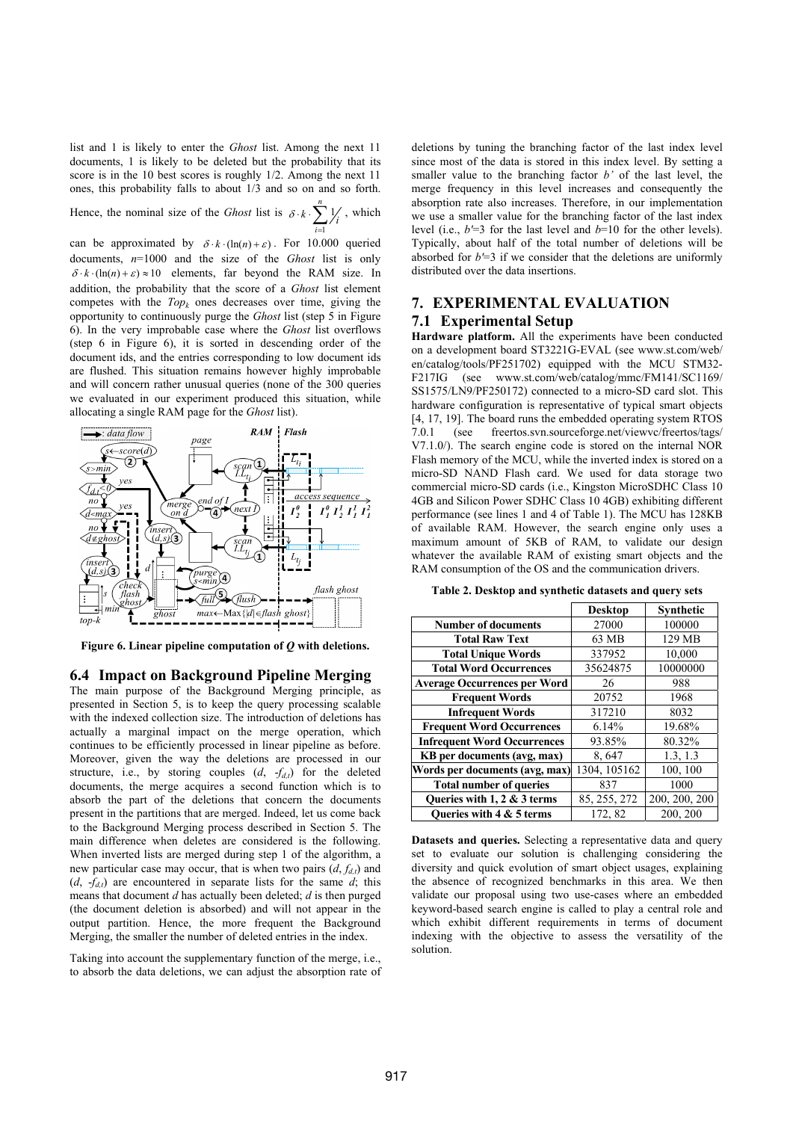list and 1 is likely to enter the *Ghost* list. Among the next 11 documents, 1 is likely to be deleted but the probability that its score is in the 10 best scores is roughly 1/2. Among the next 11 ones, this probability falls to about 1/3 and so on and so forth.

Hence, the nominal size of the *Ghost* list is  $\delta \cdot k \cdot \sum_{i=1}$ *n*  $\sum_{i=1}^{k} \frac{1}{i}$  $\delta \cdot k \cdot \sum \frac{1}{n}$ , which

can be approximated by  $\delta \cdot k \cdot (\ln(n) + \varepsilon)$ . For 10.000 queried documents, *n*=1000 and the size of the *Ghost* list is only  $\delta \cdot k \cdot (\ln(n) + \varepsilon) \approx 10$  elements, far beyond the RAM size. In addition, the probability that the score of a *Ghost* list element competes with the  $Top_k$  ones decreases over time, giving the opportunity to continuously purge the *Ghost* list (step 5 in Figure 6). In the very improbable case where the *Ghost* list overflows (step 6 in Figure 6), it is sorted in descending order of the document ids, and the entries corresponding to low document ids are flushed. This situation remains however highly improbable and will concern rather unusual queries (none of the 300 queries we evaluated in our experiment produced this situation, while allocating a single RAM page for the *Ghost* list).



**Figure 6. Linear pipeline computation of** *Q* **with deletions.** 

# **6.4 Impact on Background Pipeline Merging**

The main purpose of the Background Merging principle, as presented in Section 5, is to keep the query processing scalable with the indexed collection size. The introduction of deletions has actually a marginal impact on the merge operation, which continues to be efficiently processed in linear pipeline as before. Moreover, given the way the deletions are processed in our structure, i.e., by storing couples  $(d, -f_{d,t})$  for the deleted documents, the merge acquires a second function which is to absorb the part of the deletions that concern the documents present in the partitions that are merged. Indeed, let us come back to the Background Merging process described in Section 5. The main difference when deletes are considered is the following. When inverted lists are merged during step 1 of the algorithm, a new particular case may occur, that is when two pairs  $(d, f_{d,t})$  and  $(d, -f_{d})$  are encountered in separate lists for the same  $d$ ; this means that document *d* has actually been deleted; *d* is then purged (the document deletion is absorbed) and will not appear in the output partition. Hence, the more frequent the Background Merging, the smaller the number of deleted entries in the index.

Taking into account the supplementary function of the merge, i.e., to absorb the data deletions, we can adjust the absorption rate of

deletions by tuning the branching factor of the last index level since most of the data is stored in this index level. By setting a smaller value to the branching factor *b'* of the last level, the merge frequency in this level increases and consequently the absorption rate also increases. Therefore, in our implementation we use a smaller value for the branching factor of the last index level (i.e.,  $b'=3$  for the last level and  $b=10$  for the other levels). Typically, about half of the total number of deletions will be absorbed for *b'*=3 if we consider that the deletions are uniformly distributed over the data insertions.

# **7. EXPERIMENTAL EVALUATION 7.1 Experimental Setup**

**Hardware platform.** All the experiments have been conducted on a development board ST3221G-EVAL (see www.st.com/web/ en/catalog/tools/PF251702) equipped with the MCU STM32- F217IG (see www.st.com/web/catalog/mmc/FM141/SC1169/ SS1575/LN9/PF250172) connected to a micro-SD card slot. This hardware configuration is representative of typical smart objects [4, 17, 19]. The board runs the embedded operating system RTOS 7.0.1 (see freertos.svn.sourceforge.net/viewvc/freertos/tags/ V7.1.0/). The search engine code is stored on the internal NOR Flash memory of the MCU, while the inverted index is stored on a micro-SD NAND Flash card. We used for data storage two commercial micro-SD cards (i.e., Kingston MicroSDHC Class 10 4GB and Silicon Power SDHC Class 10 4GB) exhibiting different performance (see lines 1 and 4 of Table 1). The MCU has 128KB of available RAM. However, the search engine only uses a maximum amount of 5KB of RAM, to validate our design whatever the available RAM of existing smart objects and the RAM consumption of the OS and the communication drivers.

**Table 2. Desktop and synthetic datasets and query sets** 

|                                     | <b>Desktop</b> | Synthetic     |
|-------------------------------------|----------------|---------------|
| <b>Number of documents</b>          | 27000          | 100000        |
| <b>Total Raw Text</b>               | 63 MB          | 129 MB        |
| <b>Total Unique Words</b>           | 337952         | 10,000        |
| <b>Total Word Occurrences</b>       | 35624875       | 10000000      |
| <b>Average Occurrences per Word</b> | 26             | 988           |
| <b>Frequent Words</b>               | 20752          | 1968          |
| <b>Infrequent Words</b>             | 317210         | 8032          |
| <b>Frequent Word Occurrences</b>    | 6.14%          | 19.68%        |
| <b>Infrequent Word Occurrences</b>  | 93.85%         | 80.32%        |
| KB per documents (avg, max)         | 8,647          | 1.3, 1.3      |
| Words per documents (avg, max)      | 1304, 105162   | 100, 100      |
| <b>Total number of queries</b>      | 837            | 1000          |
| Queries with $1, 2 \& 3$ terms      | 85, 255, 272   | 200, 200, 200 |
| Queries with 4 & 5 terms            | 172, 82        | 200, 200      |

**Datasets and queries.** Selecting a representative data and query set to evaluate our solution is challenging considering the diversity and quick evolution of smart object usages, explaining the absence of recognized benchmarks in this area. We then validate our proposal using two use-cases where an embedded keyword-based search engine is called to play a central role and which exhibit different requirements in terms of document indexing with the objective to assess the versatility of the solution.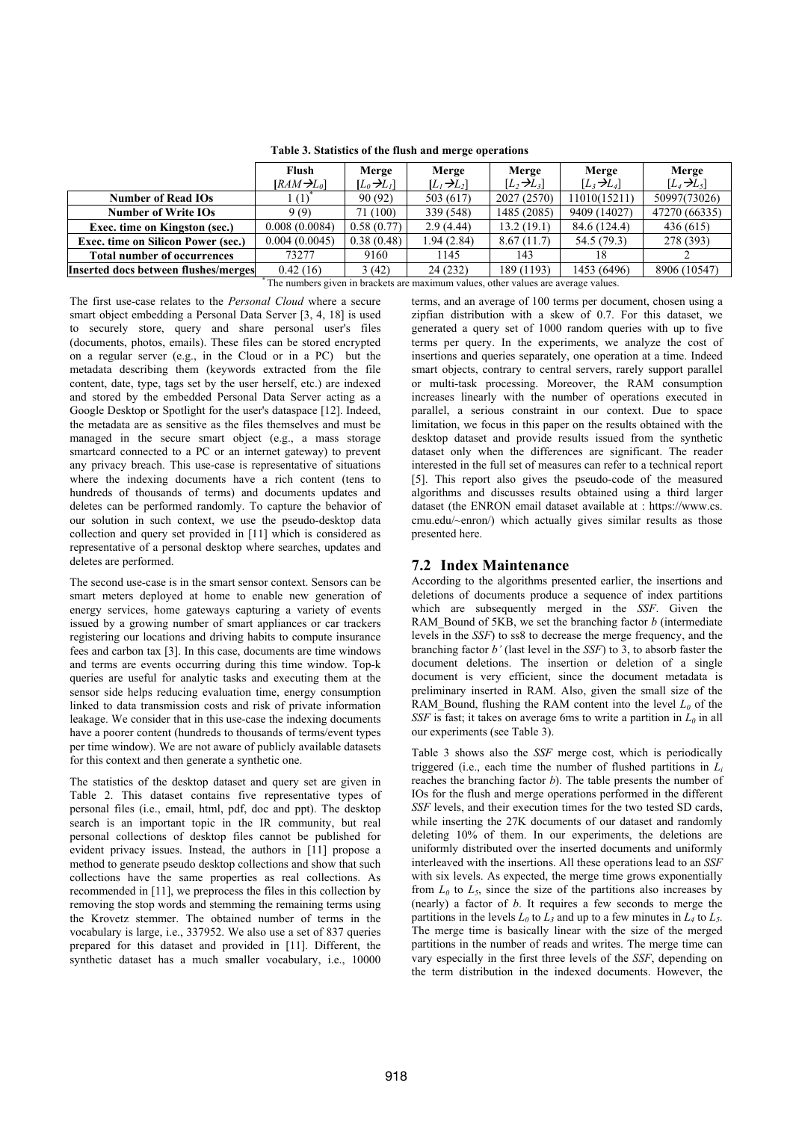|                                                                                   | Flush                  | Merge                  | Merge                  | Merge                  | Merge                  | Merge                  |
|-----------------------------------------------------------------------------------|------------------------|------------------------|------------------------|------------------------|------------------------|------------------------|
|                                                                                   | $[RAM\rightarrow L_0]$ | $[L_0\rightarrow L_1]$ | $[L_1\rightarrow L_2]$ | $[L, \rightarrow L_3]$ | $[L, \rightarrow L_4]$ | $[L_4\rightarrow L_5]$ |
| <b>Number of Read IOs</b>                                                         | (1)                    | 90(92)                 | 503 (617)              | 2027 (2570)            | 11010(15211)           | 50997(73026)           |
| <b>Number of Write IOs</b>                                                        | 9(9)                   | 71 (100)               | 339 (548)              | 1485 (2085)            | 9409 (14027)           | 47270 (66335)          |
| Exec. time on Kingston (sec.)                                                     | 0.008(0.0084)          | 0.58(0.77)             | 2.9(4.44)              | 13.2(19.1)             | 84.6 (124.4)           | 436 (615)              |
| <b>Exec.</b> time on Silicon Power (sec.)                                         | 0.004(0.0045)          | 0.38(0.48)             | 1.94(2.84)             | 8.67(11.7)             | 54.5 (79.3)            | 278 (393)              |
| <b>Total number of occurrences</b>                                                | 73277                  | 9160                   | 1145                   | 143                    | 18                     |                        |
| Inserted docs between flushes/merges                                              | 0.42(16)               | 3(42)                  | 24(232)                | 189 (1193)             | 1453 (6496)            | 8906 (10547)           |
| The numbers given in breakets are maximum values, other values are aversee values |                        |                        |                        |                        |                        |                        |

**Table 3. Statistics of the flush and merge operations** 

The numbers given in brackets are maximum values, other values are average values

The first use-case relates to the *Personal Cloud* where a secure smart object embedding a Personal Data Server [3, 4, 18] is used to securely store, query and share personal user's files (documents, photos, emails). These files can be stored encrypted on a regular server (e.g., in the Cloud or in a PC) but the metadata describing them (keywords extracted from the file content, date, type, tags set by the user herself, etc.) are indexed and stored by the embedded Personal Data Server acting as a Google Desktop or Spotlight for the user's dataspace [12]. Indeed, the metadata are as sensitive as the files themselves and must be managed in the secure smart object (e.g., a mass storage smartcard connected to a PC or an internet gateway) to prevent any privacy breach. This use-case is representative of situations where the indexing documents have a rich content (tens to hundreds of thousands of terms) and documents updates and deletes can be performed randomly. To capture the behavior of our solution in such context, we use the pseudo-desktop data collection and query set provided in [11] which is considered as representative of a personal desktop where searches, updates and deletes are performed.

The second use-case is in the smart sensor context. Sensors can be smart meters deployed at home to enable new generation of energy services, home gateways capturing a variety of events issued by a growing number of smart appliances or car trackers registering our locations and driving habits to compute insurance fees and carbon tax [3]. In this case, documents are time windows and terms are events occurring during this time window. Top-k queries are useful for analytic tasks and executing them at the sensor side helps reducing evaluation time, energy consumption linked to data transmission costs and risk of private information leakage. We consider that in this use-case the indexing documents have a poorer content (hundreds to thousands of terms/event types per time window). We are not aware of publicly available datasets for this context and then generate a synthetic one.

The statistics of the desktop dataset and query set are given in Table 2. This dataset contains five representative types of personal files (i.e., email, html, pdf, doc and ppt). The desktop search is an important topic in the IR community, but real personal collections of desktop files cannot be published for evident privacy issues. Instead, the authors in [11] propose a method to generate pseudo desktop collections and show that such collections have the same properties as real collections. As recommended in [11], we preprocess the files in this collection by removing the stop words and stemming the remaining terms using the Krovetz stemmer. The obtained number of terms in the vocabulary is large, i.e., 337952. We also use a set of 837 queries prepared for this dataset and provided in [11]. Different, the synthetic dataset has a much smaller vocabulary, i.e., 10000 terms, and an average of 100 terms per document, chosen using a zipfian distribution with a skew of 0.7. For this dataset, we generated a query set of 1000 random queries with up to five terms per query. In the experiments, we analyze the cost of insertions and queries separately, one operation at a time. Indeed smart objects, contrary to central servers, rarely support parallel or multi-task processing. Moreover, the RAM consumption increases linearly with the number of operations executed in parallel, a serious constraint in our context. Due to space limitation, we focus in this paper on the results obtained with the desktop dataset and provide results issued from the synthetic dataset only when the differences are significant. The reader interested in the full set of measures can refer to a technical report [5]. This report also gives the pseudo-code of the measured algorithms and discusses results obtained using a third larger dataset (the ENRON email dataset available at : https://www.cs. cmu.edu/~enron/) which actually gives similar results as those presented here.

# **7.2 Index Maintenance**

According to the algorithms presented earlier, the insertions and deletions of documents produce a sequence of index partitions which are subsequently merged in the *SSF*. Given the RAM Bound of 5KB, we set the branching factor *b* (intermediate levels in the *SSF*) to ss8 to decrease the merge frequency, and the branching factor *b'* (last level in the *SSF*) to 3, to absorb faster the document deletions. The insertion or deletion of a single document is very efficient, since the document metadata is preliminary inserted in RAM. Also, given the small size of the RAM Bound, flushing the RAM content into the level  $L_0$  of the *SSF* is fast; it takes on average 6ms to write a partition in  $L_0$  in all our experiments (see Table 3).

Table 3 shows also the *SSF* merge cost, which is periodically triggered (i.e., each time the number of flushed partitions in *Li*  reaches the branching factor *b*). The table presents the number of IOs for the flush and merge operations performed in the different *SSF* levels, and their execution times for the two tested SD cards, while inserting the 27K documents of our dataset and randomly deleting 10% of them. In our experiments, the deletions are uniformly distributed over the inserted documents and uniformly interleaved with the insertions. All these operations lead to an *SSF* with six levels. As expected, the merge time grows exponentially from  $L_0$  to  $L_5$ , since the size of the partitions also increases by (nearly) a factor of *b*. It requires a few seconds to merge the partitions in the levels  $L_0$  to  $L_3$  and up to a few minutes in  $L_4$  to  $L_5$ . The merge time is basically linear with the size of the merged partitions in the number of reads and writes. The merge time can vary especially in the first three levels of the *SSF*, depending on the term distribution in the indexed documents. However, the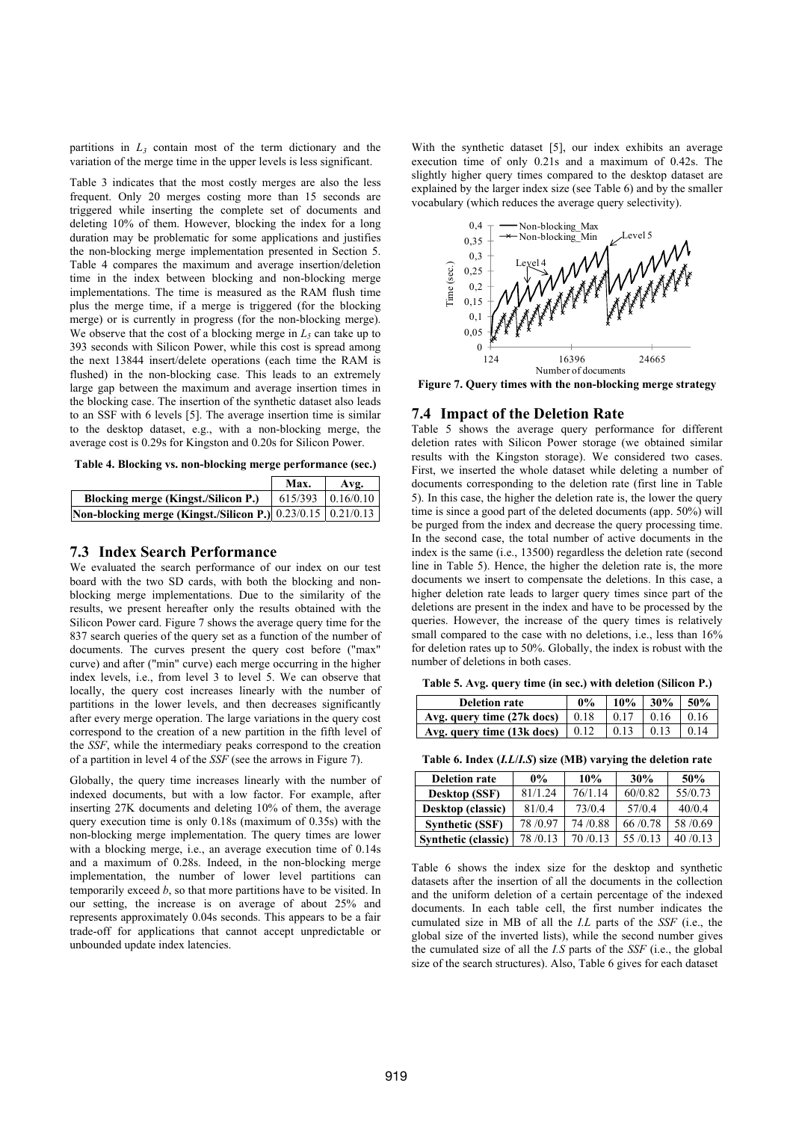partitions in  $L<sub>3</sub>$  contain most of the term dictionary and the variation of the merge time in the upper levels is less significant.

Table 3 indicates that the most costly merges are also the less frequent. Only 20 merges costing more than 15 seconds are triggered while inserting the complete set of documents and deleting 10% of them. However, blocking the index for a long duration may be problematic for some applications and justifies the non-blocking merge implementation presented in Section 5. Table 4 compares the maximum and average insertion/deletion time in the index between blocking and non-blocking merge implementations. The time is measured as the RAM flush time plus the merge time, if a merge is triggered (for the blocking merge) or is currently in progress (for the non-blocking merge). We observe that the cost of a blocking merge in  $L_5$  can take up to 393 seconds with Silicon Power, while this cost is spread among the next 13844 insert/delete operations (each time the RAM is flushed) in the non-blocking case. This leads to an extremely large gap between the maximum and average insertion times in the blocking case. The insertion of the synthetic dataset also leads to an SSF with 6 levels [5]. The average insertion time is similar to the desktop dataset, e.g., with a non-blocking merge, the average cost is 0.29s for Kingston and 0.20s for Silicon Power.

**Table 4. Blocking vs. non-blocking merge performance (sec.)** 

|                                                                      | Max. | Avg.                            |
|----------------------------------------------------------------------|------|---------------------------------|
| <b>Blocking merge (Kingst./Silicon P.)</b>                           |      | $\mid$ 615/393 $\mid$ 0.16/0.10 |
| <b>Non-blocking merge (Kingst./Silicon P.)</b> 0.23/0.15   0.21/0.13 |      |                                 |

### **7.3 Index Search Performance**

We evaluated the search performance of our index on our test board with the two SD cards, with both the blocking and nonblocking merge implementations. Due to the similarity of the results, we present hereafter only the results obtained with the Silicon Power card. Figure 7 shows the average query time for the 837 search queries of the query set as a function of the number of documents. The curves present the query cost before ("max" curve) and after ("min" curve) each merge occurring in the higher index levels, i.e., from level 3 to level 5. We can observe that locally, the query cost increases linearly with the number of partitions in the lower levels, and then decreases significantly after every merge operation. The large variations in the query cost correspond to the creation of a new partition in the fifth level of the *SSF*, while the intermediary peaks correspond to the creation of a partition in level 4 of the *SSF* (see the arrows in Figure 7).

Globally, the query time increases linearly with the number of indexed documents, but with a low factor. For example, after inserting 27K documents and deleting 10% of them, the average query execution time is only 0.18s (maximum of 0.35s) with the non-blocking merge implementation. The query times are lower with a blocking merge, i.e., an average execution time of 0.14s and a maximum of 0.28s. Indeed, in the non-blocking merge implementation, the number of lower level partitions can temporarily exceed *b*, so that more partitions have to be visited. In our setting, the increase is on average of about 25% and represents approximately 0.04s seconds. This appears to be a fair trade-off for applications that cannot accept unpredictable or unbounded update index latencies.

With the synthetic dataset [5], our index exhibits an average execution time of only 0.21s and a maximum of 0.42s. The slightly higher query times compared to the desktop dataset are explained by the larger index size (see Table 6) and by the smaller vocabulary (which reduces the average query selectivity).



**Figure 7. Query times with the non-blocking merge strategy** 

#### **7.4 Impact of the Deletion Rate**

Table 5 shows the average query performance for different deletion rates with Silicon Power storage (we obtained similar results with the Kingston storage). We considered two cases. First, we inserted the whole dataset while deleting a number of documents corresponding to the deletion rate (first line in Table 5). In this case, the higher the deletion rate is, the lower the query time is since a good part of the deleted documents (app. 50%) will be purged from the index and decrease the query processing time. In the second case, the total number of active documents in the index is the same (i.e., 13500) regardless the deletion rate (second line in Table 5). Hence, the higher the deletion rate is, the more documents we insert to compensate the deletions. In this case, a higher deletion rate leads to larger query times since part of the deletions are present in the index and have to be processed by the queries. However, the increase of the query times is relatively small compared to the case with no deletions, i.e., less than  $16\%$ for deletion rates up to 50%. Globally, the index is robust with the number of deletions in both cases.

**Table 5. Avg. query time (in sec.) with deletion (Silicon P.)** 

| <b>Deletion rate</b>                        | $0\%$         | 10%  | 130% | 50%  |
|---------------------------------------------|---------------|------|------|------|
| Avg. querv time (27k docs) –                | $\sqrt{0.18}$ | 0.17 | 0.16 | 0.16 |
| Avg. query time $(13k \text{ does})$   0.12 |               | 0.13 |      | በ 14 |

**Table 6. Index (***I.L***/***I.S***) size (MB) varying the deletion rate** 

| <b>Deletion rate</b>   | $0\%$   | 10%       | 30%       | 50%     |
|------------------------|---------|-----------|-----------|---------|
| Desktop (SSF)          | 81/1.24 | 76/1.14   | 60/0.82   | 55/0.73 |
| Desktop (classic)      | 81/0.4  | 73/0.4    | 57/0.4    | 40/0.4  |
| <b>Synthetic (SSF)</b> | 78/0.97 | 74 / 0.88 | 66 / 0.78 | 58/0.69 |
| Synthetic (classic)    | 78/0.13 | 70/0.13   | 55 /0.13  | 40/0.13 |

Table 6 shows the index size for the desktop and synthetic datasets after the insertion of all the documents in the collection and the uniform deletion of a certain percentage of the indexed documents. In each table cell, the first number indicates the cumulated size in MB of all the *I.L* parts of the *SSF* (i.e., the global size of the inverted lists), while the second number gives the cumulated size of all the *I.S* parts of the *SSF* (i.e., the global size of the search structures). Also, Table 6 gives for each dataset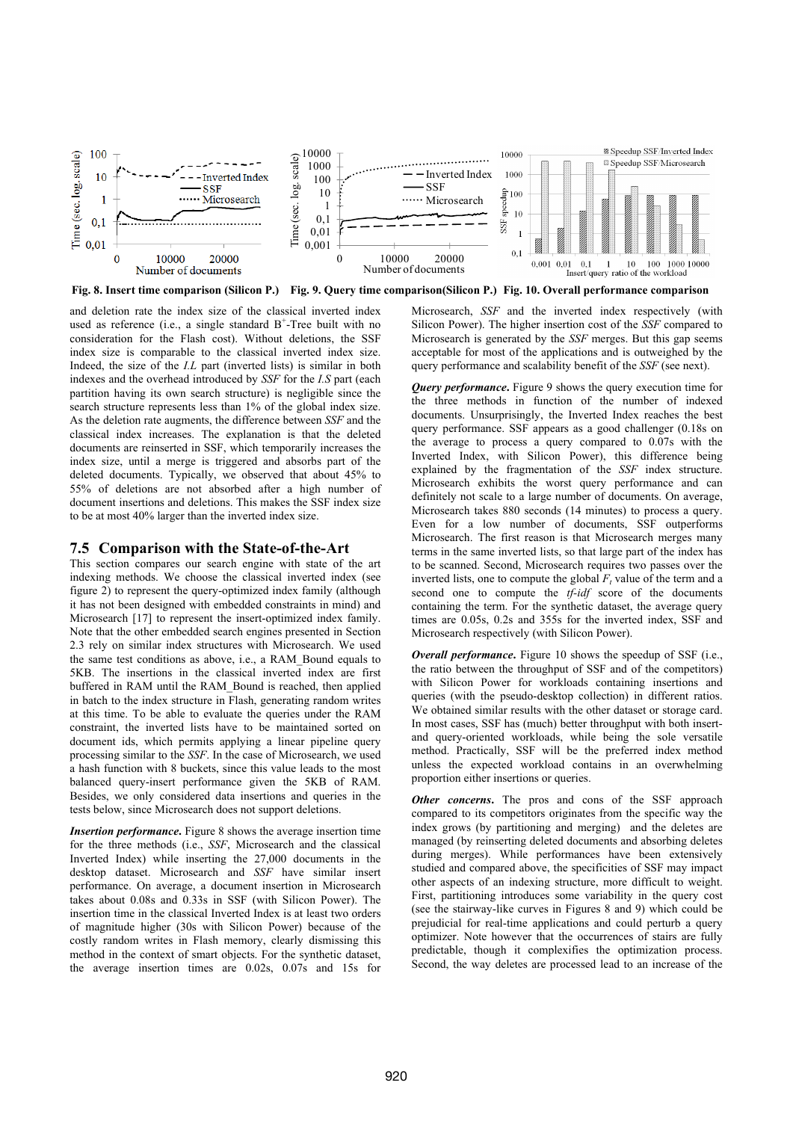

**Fig. 8. Insert time comparison (Silicon P.) Fig. 9. Query time comparison(Silicon P.) Fig. 10. Overall performance comparison** 

and deletion rate the index size of the classical inverted index used as reference (i.e., a single standard  $B^+$ -Tree built with no consideration for the Flash cost). Without deletions, the SSF index size is comparable to the classical inverted index size. Indeed, the size of the *I.L* part (inverted lists) is similar in both indexes and the overhead introduced by *SSF* for the *I.S* part (each partition having its own search structure) is negligible since the search structure represents less than 1% of the global index size. As the deletion rate augments, the difference between *SSF* and the classical index increases. The explanation is that the deleted documents are reinserted in SSF, which temporarily increases the index size, until a merge is triggered and absorbs part of the deleted documents. Typically, we observed that about 45% to 55% of deletions are not absorbed after a high number of document insertions and deletions. This makes the SSF index size to be at most 40% larger than the inverted index size.

#### **7.5 Comparison with the State-of-the-Art**

This section compares our search engine with state of the art indexing methods. We choose the classical inverted index (see figure 2) to represent the query-optimized index family (although it has not been designed with embedded constraints in mind) and Microsearch [17] to represent the insert-optimized index family. Note that the other embedded search engines presented in Section 2.3 rely on similar index structures with Microsearch. We used the same test conditions as above, i.e., a RAM\_Bound equals to 5KB. The insertions in the classical inverted index are first buffered in RAM until the RAM\_Bound is reached, then applied in batch to the index structure in Flash, generating random writes at this time. To be able to evaluate the queries under the RAM constraint, the inverted lists have to be maintained sorted on document ids, which permits applying a linear pipeline query processing similar to the *SSF*. In the case of Microsearch, we used a hash function with 8 buckets, since this value leads to the most balanced query-insert performance given the 5KB of RAM. Besides, we only considered data insertions and queries in the tests below, since Microsearch does not support deletions.

*Insertion performance***.** Figure 8 shows the average insertion time for the three methods (i.e., *SSF*, Microsearch and the classical Inverted Index) while inserting the 27,000 documents in the desktop dataset. Microsearch and *SSF* have similar insert performance. On average, a document insertion in Microsearch takes about 0.08s and 0.33s in SSF (with Silicon Power). The insertion time in the classical Inverted Index is at least two orders of magnitude higher (30s with Silicon Power) because of the costly random writes in Flash memory, clearly dismissing this method in the context of smart objects. For the synthetic dataset, the average insertion times are 0.02s, 0.07s and 15s for

Microsearch, *SSF* and the inverted index respectively (with Silicon Power). The higher insertion cost of the *SSF* compared to Microsearch is generated by the *SSF* merges. But this gap seems acceptable for most of the applications and is outweighed by the query performance and scalability benefit of the *SSF* (see next).

*Query performance***.** Figure 9 shows the query execution time for the three methods in function of the number of indexed documents. Unsurprisingly, the Inverted Index reaches the best query performance. SSF appears as a good challenger (0.18s on the average to process a query compared to 0.07s with the Inverted Index, with Silicon Power), this difference being explained by the fragmentation of the *SSF* index structure. Microsearch exhibits the worst query performance and can definitely not scale to a large number of documents. On average, Microsearch takes 880 seconds (14 minutes) to process a query. Even for a low number of documents, SSF outperforms Microsearch. The first reason is that Microsearch merges many terms in the same inverted lists, so that large part of the index has to be scanned. Second, Microsearch requires two passes over the inverted lists, one to compute the global  $F_t$  value of the term and a second one to compute the *tf-idf* score of the documents containing the term. For the synthetic dataset, the average query times are 0.05s, 0.2s and 355s for the inverted index, SSF and Microsearch respectively (with Silicon Power).

*Overall performance*. Figure 10 shows the speedup of SSF (i.e., the ratio between the throughput of SSF and of the competitors) with Silicon Power for workloads containing insertions and queries (with the pseudo-desktop collection) in different ratios. We obtained similar results with the other dataset or storage card. In most cases, SSF has (much) better throughput with both insertand query-oriented workloads, while being the sole versatile method. Practically, SSF will be the preferred index method unless the expected workload contains in an overwhelming proportion either insertions or queries.

*Other concerns*. The pros and cons of the SSF approach compared to its competitors originates from the specific way the index grows (by partitioning and merging) and the deletes are managed (by reinserting deleted documents and absorbing deletes during merges). While performances have been extensively studied and compared above, the specificities of SSF may impact other aspects of an indexing structure, more difficult to weight. First, partitioning introduces some variability in the query cost (see the stairway-like curves in Figures 8 and 9) which could be prejudicial for real-time applications and could perturb a query optimizer. Note however that the occurrences of stairs are fully predictable, though it complexifies the optimization process. Second, the way deletes are processed lead to an increase of the